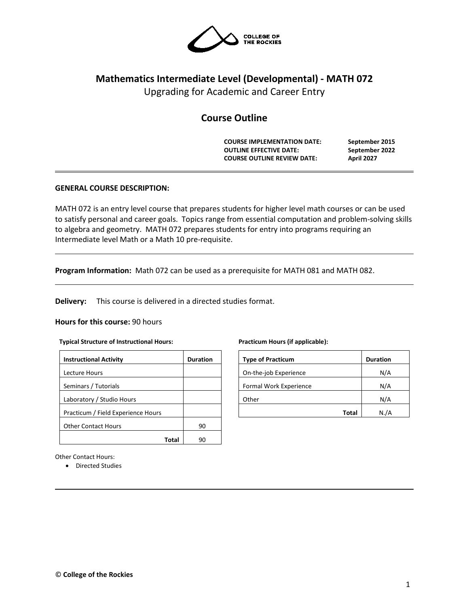

# **Mathematics Intermediate Level (Developmental) - MATH 072**

Upgrading for Academic and Career Entry

# **Course Outline**

**COURSE IMPLEMENTATION DATE: September 2015 OUTLINE EFFECTIVE DATE: September 2022 COURSE OUTLINE REVIEW DATE: April 2027**

# **GENERAL COURSE DESCRIPTION:**

MATH 072 is an entry level course that prepares students for higher level math courses or can be used to satisfy personal and career goals. Topics range from essential computation and problem-solving skills to algebra and geometry. MATH 072 prepares students for entry into programs requiring an Intermediate level Math or a Math 10 pre-requisite.

**Program Information:** Math 072 can be used as a prerequisite for MATH 081 and MATH 082.

**Delivery:** This course is delivered in a directed studies format.

#### **Hours for this course:** 90 hours

#### **Typical Structure of Instructional Hours:**

| <b>Instructional Activity</b>      | <b>Duration</b> |
|------------------------------------|-----------------|
| <b>Lecture Hours</b>               |                 |
| Seminars / Tutorials               |                 |
| Laboratory / Studio Hours          |                 |
| Practicum / Field Experience Hours |                 |
| <b>Other Contact Hours</b>         | 90              |
| Tota                               |                 |

**Practicum Hours (if applicable):**

| <b>Type of Practicum</b> | <b>Duration</b> |
|--------------------------|-----------------|
| On-the-job Experience    | N/A             |
| Formal Work Experience   | N/A             |
| Other                    | N/A             |
| Total                    | N.A             |

Other Contact Hours:

• Directed Studies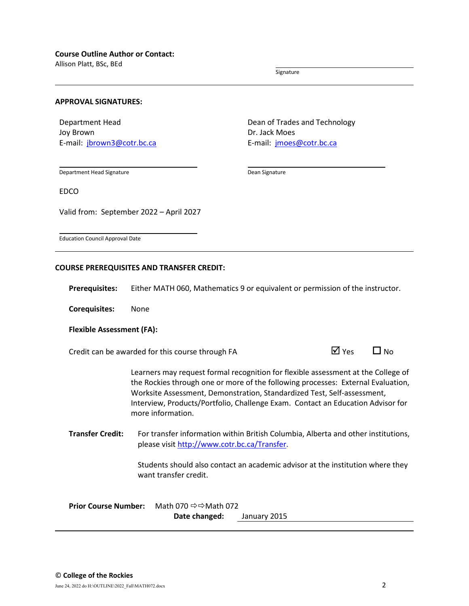Allison Platt, BSc, BEd

Signature

#### **APPROVAL SIGNATURES:**

Department Head Joy Brown E-mail: [jbrown3@cotr.bc.ca](mailto:jbrown3@cotr.bc.ca) Dean of Trades and Technology Dr. Jack Moes E-mail: *[jmoes@cotr.bc.ca](mailto:jmoes@cotr.bc.ca)* 

Department Head Signature

Dean Signature

EDCO

Valid from: September 2022 – April 2027

Education Council Approval Date

#### **COURSE PREREQUISITES AND TRANSFER CREDIT:**

**Prerequisites:** Either MATH 060, Mathematics 9 or equivalent or permission of the instructor.

**Corequisites:** None

#### **Flexible Assessment (FA):**

Credit can be awarded for this course through FA  $\Box$  Yes  $\Box$  No

Learners may request formal recognition for flexible assessment at the College of the Rockies through one or more of the following processes: External Evaluation, Worksite Assessment, Demonstration, Standardized Test, Self-assessment, Interview, Products/Portfolio, Challenge Exam. Contact an Education Advisor for more information.

**Transfer Credit:** For transfer information within British Columbia, Alberta and other institutions, please visit [http://www.cotr.bc.ca/Transfer.](http://www.cotr.bc.ca/Transfer)

> Students should also contact an academic advisor at the institution where they want transfer credit.

| <b>Prior Course Number:</b> | Math 070 ⇔⇔Math 072 |              |  |  |  |
|-----------------------------|---------------------|--------------|--|--|--|
|                             | Date changed:       | January 2015 |  |  |  |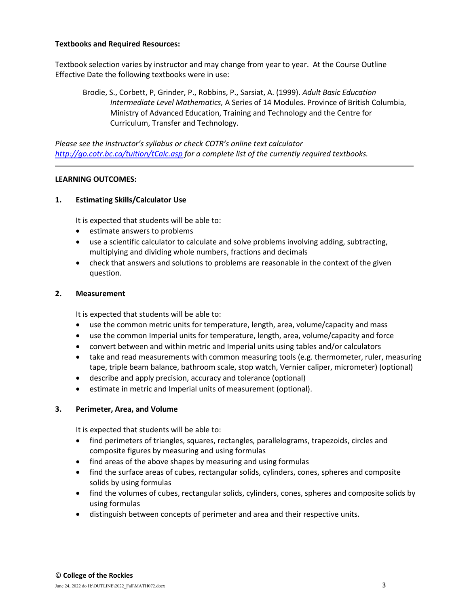# **Textbooks and Required Resources:**

Textbook selection varies by instructor and may change from year to year. At the Course Outline Effective Date the following textbooks were in use:

Brodie, S., Corbett, P, Grinder, P., Robbins, P., Sarsiat, A. (1999). *Adult Basic Education Intermediate Level Mathematics,* A Series of 14 Modules. Province of British Columbia, Ministry of Advanced Education, Training and Technology and the Centre for Curriculum, Transfer and Technology.

*Please see the instructor's syllabus or check COTR's online text calculator <http://go.cotr.bc.ca/tuition/tCalc.asp> for a complete list of the currently required textbooks.*

# **LEARNING OUTCOMES:**

# **1. Estimating Skills/Calculator Use**

It is expected that students will be able to:

- estimate answers to problems
- use a scientific calculator to calculate and solve problems involving adding, subtracting, multiplying and dividing whole numbers, fractions and decimals
- check that answers and solutions to problems are reasonable in the context of the given question.

# **2. Measurement**

It is expected that students will be able to:

- use the common metric units for temperature, length, area, volume/capacity and mass
- use the common Imperial units for temperature, length, area, volume/capacity and force
- convert between and within metric and Imperial units using tables and/or calculators
- take and read measurements with common measuring tools (e.g. thermometer, ruler, measuring tape, triple beam balance, bathroom scale, stop watch, Vernier caliper, micrometer) (optional)
- describe and apply precision, accuracy and tolerance (optional)
- estimate in metric and Imperial units of measurement (optional).

# **3. Perimeter, Area, and Volume**

It is expected that students will be able to:

- find perimeters of triangles, squares, rectangles, parallelograms, trapezoids, circles and composite figures by measuring and using formulas
- find areas of the above shapes by measuring and using formulas
- find the surface areas of cubes, rectangular solids, cylinders, cones, spheres and composite solids by using formulas
- find the volumes of cubes, rectangular solids, cylinders, cones, spheres and composite solids by using formulas
- distinguish between concepts of perimeter and area and their respective units.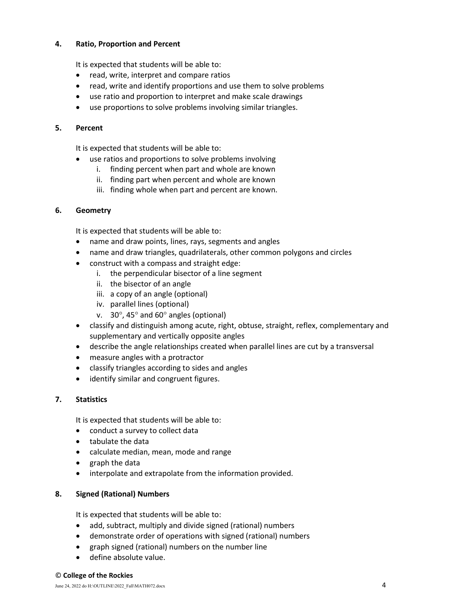# **4. Ratio, Proportion and Percent**

It is expected that students will be able to:

- read, write, interpret and compare ratios
- read, write and identify proportions and use them to solve problems
- use ratio and proportion to interpret and make scale drawings
- use proportions to solve problems involving similar triangles.

#### **5. Percent**

It is expected that students will be able to:

- use ratios and proportions to solve problems involving
	- i. finding percent when part and whole are known
	- ii. finding part when percent and whole are known
	- iii. finding whole when part and percent are known.

#### **6. Geometry**

It is expected that students will be able to:

- name and draw points, lines, rays, segments and angles
- name and draw triangles, quadrilaterals, other common polygons and circles
- construct with a compass and straight edge:
	- i. the perpendicular bisector of a line segment
	- ii. the bisector of an angle
	- iii. a copy of an angle (optional)
	- iv. parallel lines (optional)
	- v. 30°, 45° and 60° angles (optional)
- classify and distinguish among acute, right, obtuse, straight, reflex, complementary and supplementary and vertically opposite angles
- describe the angle relationships created when parallel lines are cut by a transversal
- measure angles with a protractor
- classify triangles according to sides and angles
- identify similar and congruent figures.

# **7. Statistics**

It is expected that students will be able to:

- conduct a survey to collect data
- tabulate the data
- calculate median, mean, mode and range
- graph the data
- interpolate and extrapolate from the information provided.

#### **8. Signed (Rational) Numbers**

It is expected that students will be able to:

- add, subtract, multiply and divide signed (rational) numbers
- demonstrate order of operations with signed (rational) numbers
- graph signed (rational) numbers on the number line
- define absolute value.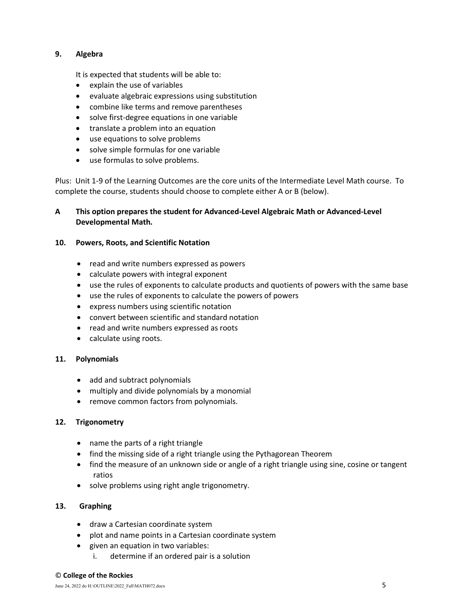# **9. Algebra**

It is expected that students will be able to:

- explain the use of variables
- evaluate algebraic expressions using substitution
- combine like terms and remove parentheses
- solve first-degree equations in one variable
- translate a problem into an equation
- use equations to solve problems
- solve simple formulas for one variable
- use formulas to solve problems.

Plus: Unit 1-9 of the Learning Outcomes are the core units of the Intermediate Level Math course. To complete the course, students should choose to complete either A or B (below).

# **A This option prepares the student for Advanced-Level Algebraic Math or Advanced-Level Developmental Math.**

# **10. Powers, Roots, and Scientific Notation**

- read and write numbers expressed as powers
- calculate powers with integral exponent
- use the rules of exponents to calculate products and quotients of powers with the same base
- use the rules of exponents to calculate the powers of powers
- express numbers using scientific notation
- convert between scientific and standard notation
- read and write numbers expressed as roots
- calculate using roots.

# **11. Polynomials**

- add and subtract polynomials
- multiply and divide polynomials by a monomial
- remove common factors from polynomials.

# **12. Trigonometry**

- name the parts of a right triangle
- find the missing side of a right triangle using the Pythagorean Theorem
- find the measure of an unknown side or angle of a right triangle using sine, cosine or tangent ratios
- solve problems using right angle trigonometry.

# **13. Graphing**

- draw a Cartesian coordinate system
- plot and name points in a Cartesian coordinate system
- given an equation in two variables:
	- i. determine if an ordered pair is a solution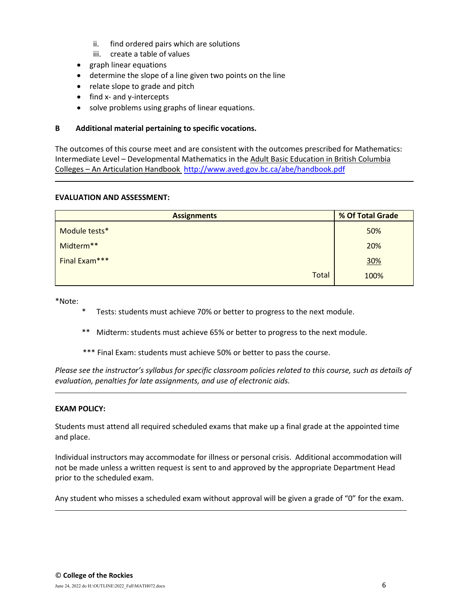- ii. find ordered pairs which are solutions
- iii. create a table of values
- graph linear equations
- determine the slope of a line given two points on the line
- relate slope to grade and pitch
- find x- and y-intercepts
- solve problems using graphs of linear equations.

### **B Additional material pertaining to specific vocations.**

The outcomes of this course meet and are consistent with the outcomes prescribed for Mathematics: Intermediate Level – Developmental Mathematics in the Adult Basic Education in British Columbia Colleges – An Articulation Handbook <http://www.aved.gov.bc.ca/abe/handbook.pdf>

#### **EVALUATION AND ASSESSMENT:**

| <b>Assignments</b> | % Of Total Grade |  |  |
|--------------------|------------------|--|--|
| Module tests*      | 50%              |  |  |
| Midterm**          | 20%              |  |  |
| Final Exam***      | 30%              |  |  |
| <b>Total</b>       | 100%             |  |  |

\*Note:

- Tests: students must achieve 70% or better to progress to the next module.
- \*\* Midterm: students must achieve 65% or better to progress to the next module.
- \*\*\* Final Exam: students must achieve 50% or better to pass the course.

*Please see the instructor's syllabus for specific classroom policies related to this course, such as details of evaluation, penalties for late assignments, and use of electronic aids.*

# **EXAM POLICY:**

Students must attend all required scheduled exams that make up a final grade at the appointed time and place.

Individual instructors may accommodate for illness or personal crisis. Additional accommodation will not be made unless a written request is sent to and approved by the appropriate Department Head prior to the scheduled exam.

Any student who misses a scheduled exam without approval will be given a grade of "0" for the exam.